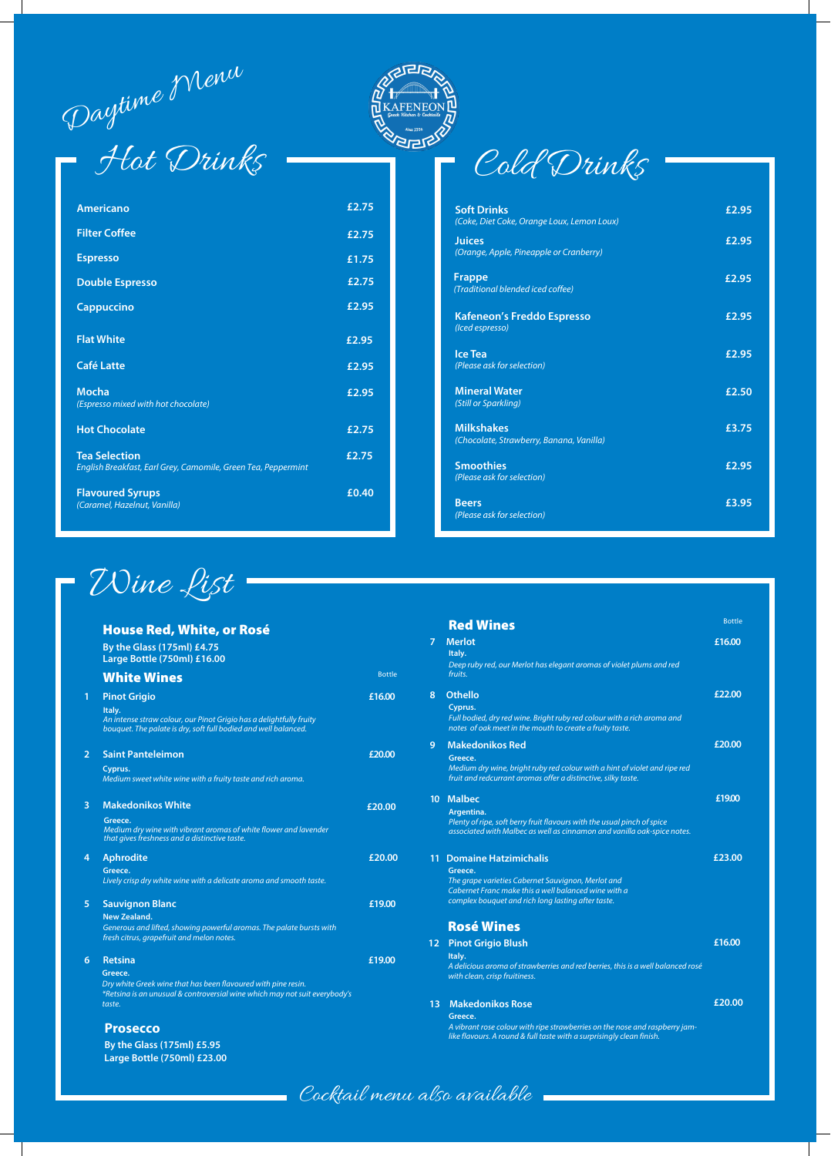Daytime Menu

# Hot Drinks Cold Drinks





#### that gives freshness and a distinctive taste.

#### **5 £19.00**

#### **New Zealand.**

Generous and lifted, showing powerful aromas. The palate bursts with fresh citrus, grapefruit and melon notes.

## Rosé Wines

12 Pinot Grigio Blush

#### **£16.00**

#### **Italy.**  A delicious aroma of strawberries and red berries, this is a well balanced rosé with clean, crisp fruitiness.

#### **£20.00**

#### **Greece.**

A vibrant rose colour with ripe strawberries on the nose and raspberry jamlike flavours. A round & full taste with a surprisingly clean finish.

#### **4 £20.00 Greece.**  Lively crisp dry white wine with a delicate aroma and smooth taste. **1 £23.00 Greece.**

|                | <b>House Red, White, or Rosé</b><br>By the Glass (175ml) £4.75<br>Large Bottle (750ml) £16.00                                                                           |               |
|----------------|-------------------------------------------------------------------------------------------------------------------------------------------------------------------------|---------------|
|                | <b>White Wines</b>                                                                                                                                                      | <b>Bottle</b> |
| 1              | <b>Pinot Grigio</b><br>Italy.<br>An intense straw colour, our Pinot Grigio has a delightfully fruity<br>bouquet. The palate is dry, soft full bodied and well balanced. | £16.00        |
| $\overline{2}$ | <b>Saint Panteleimon</b><br>Cyprus.<br>Medium sweet white wine with a fruity taste and rich aroma.                                                                      | £20.00        |
| 3              | <b>Makedonikos White</b><br>Greece.<br>Medium dry wine with vibrant aromas of white flower and lavender                                                                 | £20.00        |

associated with Malbec as well as cinnamon and vanilla oak-spice notes.

#### 13 Makedonikos Rose

### The grape varieties Cabernet Sauvignon, Merlot and Cabernet Franc make this a well balanced wine with a complex bouquet and rich long lasting after taste.

|   | <b>Red Wines</b>                                                                                                                    | <b>Bottle</b> |
|---|-------------------------------------------------------------------------------------------------------------------------------------|---------------|
|   | <b>Merlot</b><br>Italy.                                                                                                             | £16.00        |
|   | Deep ruby red, our Merlot has elegant aromas of violet plums and red<br>fruits.                                                     |               |
|   | <b>Othello</b>                                                                                                                      | £22.00        |
|   | Cyprus.                                                                                                                             |               |
|   | Full bodied, dry red wine. Bright ruby red colour with a rich aroma and<br>notes of oak meet in the mouth to create a fruity taste. |               |
|   | <b>Makedonikos Red</b>                                                                                                              | £20.00        |
|   | Greece.                                                                                                                             |               |
|   | Medium dry wine, bright ruby red colour with a hint of violet and ripe red                                                          |               |
|   | fruit and redcurrant aromas offer a distinctive, silky taste.                                                                       |               |
| 0 | <b>Malbec</b>                                                                                                                       | £19.00        |
|   | Argentina.                                                                                                                          |               |
|   | Plenty of ripe, soft berry fruit flavours with the usual pinch of spice                                                             |               |

| <b>Americano</b>                                                                      | £2.75 |
|---------------------------------------------------------------------------------------|-------|
| <b>Filter Coffee</b>                                                                  | £2.75 |
| <b>Espresso</b>                                                                       | £1.75 |
| <b>Double Espresso</b>                                                                | £2.75 |
| <b>Cappuccino</b>                                                                     | £2.95 |
| <b>Flat White</b>                                                                     | £2.95 |
| <b>Café Latte</b>                                                                     | £2.95 |
| <b>Mocha</b><br>(Espresso mixed with hot chocolate)                                   | £2.95 |
| <b>Hot Chocolate</b>                                                                  | £2.75 |
| <b>Tea Selection</b><br>English Breakfast, Earl Grey, Camomile, Green Tea, Peppermint | £2.75 |
| <b>Flavoured Syrups</b><br>(Caramel, Hazelnut, Vanilla)                               | £0.40 |





| <b>Soft Drinks</b><br>(Coke, Diet Coke, Orange Loux, Lemon Loux) | £2.95 |
|------------------------------------------------------------------|-------|
| <b>Juices</b><br>(Orange, Apple, Pineapple or Cranberry)         | £2.95 |
| <b>Frappe</b><br>(Traditional blended iced coffee)               | £2.95 |
| <b>Kafeneon's Freddo Espresso</b><br>(Iced espresso)             | £2.95 |
| <b>Ice Tea</b><br>(Please ask for selection)                     | £2.95 |
| <b>Mineral Water</b><br>(Still or Sparkling)                     | £2.50 |
| <b>Milkshakes</b><br>(Chocolate, Strawberry, Banana, Vanilla)    | £3.75 |
| <b>Smoothies</b><br>(Please ask for selection)                   | £2.95 |
| <b>Beers</b><br>(Please ask for selection)                       | £3.95 |

#### **6** b **Retsina**

#### **Greece.**

Dry white Greek wine that has been flavoured with pine resin. \*Retsina is an unusual & controversial wine which may not suit everybody's taste.

**£19.00**

#### **Prosecco**

**By the Glass (175ml) £5.95 Large Bottle (750ml) £23.00**